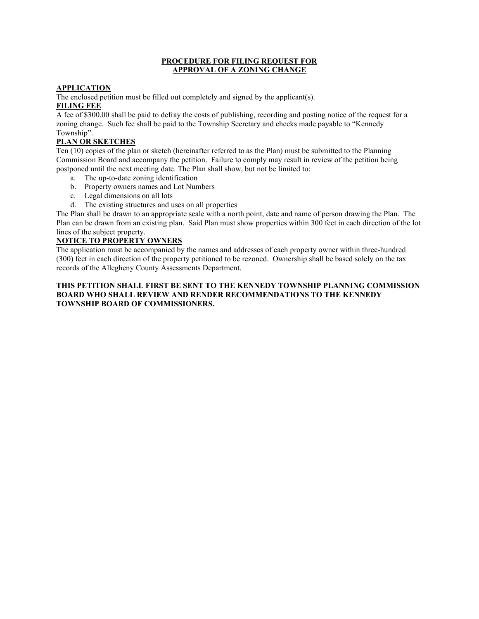#### **PROCEDURE FOR FILING REQUEST FOR APPROVAL OF A ZONING CHANGE**

### **APPLICATION**

The enclosed petition must be filled out completely and signed by the applicant(s). **FILING FEE**

A fee of \$300.00 shall be paid to defray the costs of publishing, recording and posting notice of the request for a zoning change. Such fee shall be paid to the Township Secretary and checks made payable to "Kennedy Township".

## **PLAN OR SKETCHES**

Ten (10) copies of the plan or sketch (hereinafter referred to as the Plan) must be submitted to the Planning Commission Board and accompany the petition. Failure to comply may result in review of the petition being postponed until the next meeting date. The Plan shall show, but not be limited to:

- a. The up-to-date zoning identification
- b. Property owners names and Lot Numbers
- c. Legal dimensions on all lots
- d. The existing structures and uses on all properties

The Plan shall be drawn to an appropriate scale with a north point, date and name of person drawing the Plan. The Plan can be drawn from an existing plan. Said Plan must show properties within 300 feet in each direction of the lot lines of the subject property.

#### **NOTICE TO PROPERTY OWNERS**

The application must be accompanied by the names and addresses of each property owner within three-hundred (300) feet in each direction of the property petitioned to be rezoned. Ownership shall be based solely on the tax records of the Allegheny County Assessments Department.

#### **THIS PETITION SHALL FIRST BE SENT TO THE KENNEDY TOWNSHIP PLANNING COMMISSION BOARD WHO SHALL REVIEW AND RENDER RECOMMENDATIONS TO THE KENNEDY TOWNSHIP BOARD OF COMMISSIONERS.**